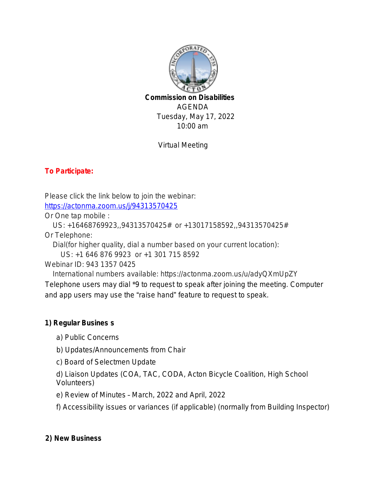

Tuesday, May 17, 2022 10:00 am

Virtual Meeting

## **To Participate:**

Please click the link below to join the webinar:

<https://actonma.zoom.us/j/94313570425>

Or One tap mobile :

US: +16468769923,,94313570425# or +13017158592,,94313570425#

Or Telephone:

Dial(for higher quality, dial a number based on your current location):

US: +1 646 876 9923 or +1 301 715 8592

Webinar ID: 943 1357 0425

 International numbers available: https://actonma.zoom.us/u/adyQXmUpZY Telephone users may dial \*9 to request to speak after joining the meeting. Computer and app users may use the "raise hand" feature to request to speak.

## **1) Regular Busines s**

- a) Public Concerns
- b) Updates/Announcements from Chair
- c) Board of Selectmen Update

d) Liaison Updates (COA, TAC, CODA, Acton Bicycle Coalition, High School Volunteers)

e) Review of Minutes – March, 2022 and April, 2022

f) Accessibility issues or variances (if applicable) (normally from Building Inspector)

## **2) New Business**